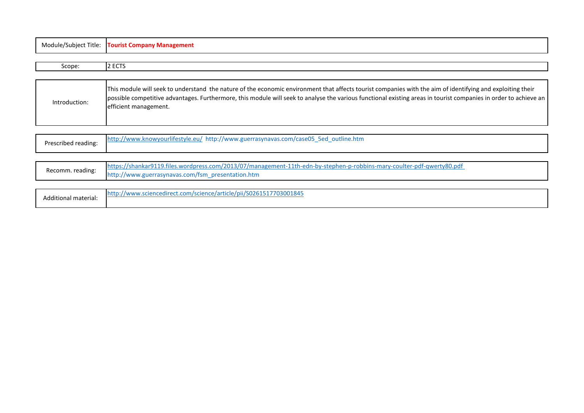| Module/Subject Title: | <b>Tourist Company Management</b>                                                                                                                                                                                                                                                                                                                       |
|-----------------------|---------------------------------------------------------------------------------------------------------------------------------------------------------------------------------------------------------------------------------------------------------------------------------------------------------------------------------------------------------|
|                       |                                                                                                                                                                                                                                                                                                                                                         |
| Scope:                | 2 ECTS                                                                                                                                                                                                                                                                                                                                                  |
|                       |                                                                                                                                                                                                                                                                                                                                                         |
| Introduction:         | This module will seek to understand the nature of the economic environment that affects tourist companies with the aim of identifying and exploiting their<br>possible competitive advantages. Furthermore, this module will seek to analyse the various functional existing areas in tourist companies in order to achieve an<br>efficient management. |
|                       |                                                                                                                                                                                                                                                                                                                                                         |
| Prescribed reading:   | http://www.knowyourlifestyle.eu/ http://www.guerrasynavas.com/case05_5ed_outline.htm                                                                                                                                                                                                                                                                    |

|                  | https://shankar9119.files.wordpress.com/2013/07/management-11th-edn-by-stephen-p-robbins-mary-coulter-pdf-qwerty80.pdf |
|------------------|------------------------------------------------------------------------------------------------------------------------|
| Recomm. reading: | http://www.guerrasynavas.com/fsm_presentation.htm                                                                      |

| Additional material: | .<br>com/sc<br>703001845<br>$\ldots$ vv.scienceairect.com<br>SUZDISI.<br>$\blacksquare$ |
|----------------------|-----------------------------------------------------------------------------------------|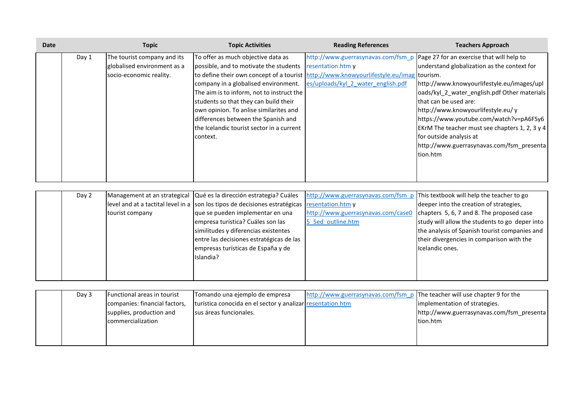| <b>Date</b> |       | <b>Topic</b>                                                                          | <b>Topic Activities</b>                                                                                                                                                                                                                                                                                                                                            | <b>Reading References</b>                                                                                                                         | <b>Teachers Approach</b>                                                                                                                                                                                                                                                                                                                                                                                                                                                  |
|-------------|-------|---------------------------------------------------------------------------------------|--------------------------------------------------------------------------------------------------------------------------------------------------------------------------------------------------------------------------------------------------------------------------------------------------------------------------------------------------------------------|---------------------------------------------------------------------------------------------------------------------------------------------------|---------------------------------------------------------------------------------------------------------------------------------------------------------------------------------------------------------------------------------------------------------------------------------------------------------------------------------------------------------------------------------------------------------------------------------------------------------------------------|
|             | Day 1 | The tourist company and its<br>globalised environment as a<br>socio-economic reality. | To offer as much objective data as<br>possible, and to motivate the students<br>company in a globalised environment.<br>The aim is to inform, not to instruct the<br>students so that they can build their<br>own opinion. To anlise similarites and<br>differences between the Spanish and<br>the Icelandic tourist sector in a current<br>context.               | resentation.htm y<br>to define their own concept of a tourist http://www.knowyourlifestyle.eu/imag tourism.<br>es/uploads/kyl 2 water english.pdf | http://www.guerrasynavas.com/fsm_p Page 27 for an exercise that will help to<br>understand globalization as the context for<br>http://www.knowyourlifestyle.eu/images/upl<br>oads/kyl_2_water_english.pdf Other materials<br>that can be used are:<br>http://www.knowyourlifestyle.eu/ y<br>https://www.youtube.com/watch?v=pA6FSy6<br>EKrM The teacher must see chapters 1, 2, 3 y 4<br>for outside analysis at<br>http://www.guerrasynavas.com/fsm_presenta<br>tion.htm |
|             | Day 2 | tourist company                                                                       | Management at an strategical Qué es la dirección estrategia? Cuáles<br>level and at a tactital level in a son los tipos de decisiones estratégicas<br>que se pueden implementar en una<br>empresa turística? Cuáles son las<br>similitudes y diferencias existentes<br>entre las decisiones estratégicas de las<br>empresas turísticas de España y de<br>Islandia? | http://www.guerrasynavas.com/fsm_p<br>resentation.htm y<br>http://www.guerrasynavas.com/case0<br>5 5ed outline.htm                                | This textbook will help the teacher to go<br>deeper into the creation of strategies,<br>chapters 5, 6, 7 and 8. The proposed case<br>study will allow the students to go deper into<br>the analysis of Spanish tourist companies and<br>their divergencies in comparison with the<br>Icelandic ones.                                                                                                                                                                      |

| Day 3 | Functional areas in tourist   | Tomando una ejemplo de empresa                             | http://www.guerrasynavas.com/fsm p The teacher will use chapter 9 for the |                                           |
|-------|-------------------------------|------------------------------------------------------------|---------------------------------------------------------------------------|-------------------------------------------|
|       | companies: financial factors, | turística conocida en el sector y analizar resentation.htm |                                                                           | implementation of strategies.             |
|       | supplies, production and      | sus áreas funcionales.                                     |                                                                           | http://www.guerrasynavas.com/fsm presenta |
|       | commercialization             |                                                            |                                                                           | tion.htm                                  |
|       |                               |                                                            |                                                                           |                                           |
|       |                               |                                                            |                                                                           |                                           |